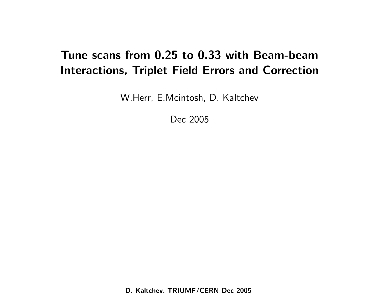## Tune scans from 0.25 to 0.33 with Beam-beam Interactions, Triplet Field Errors and Correction

W.Herr, E.Mcintosh, D. Kaltchev

Dec 2005

D. Kaltchev, TRIUMF/CERN Dec 2005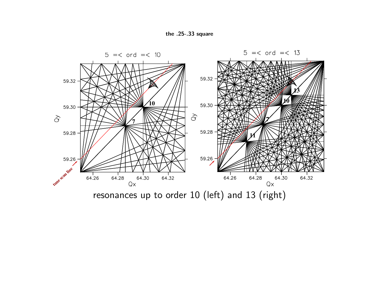



resonances up to order 10 (left) and 13 (right)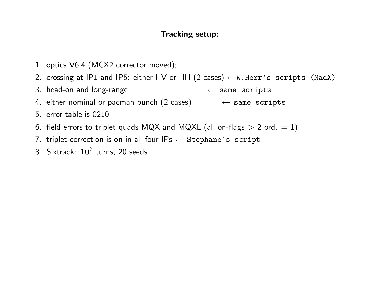## Tracking setup:

- 1. optics V6.4 (MCX2 corrector moved);
- 2. crossing at IP1 and IP5: either HV or HH  $(2 \text{ cases}) \leftarrow W.Herr's$  scripts (MadX)
- 3. head-on and long-range ← same scripts
- 4. either nominal or pacman bunch  $(2 \text{ cases}) \leftarrow$  same scripts
- 5. error table is 0210
- 6. field errors to triplet quads MQX and MQXL (all on-flags  $> 2$  ord.  $= 1$ )
- 7. triplet correction is on in all four  $IPs \leftarrow$  Stephane's script
- 8. Sixtrack:  $10^6$  turns, 20 seeds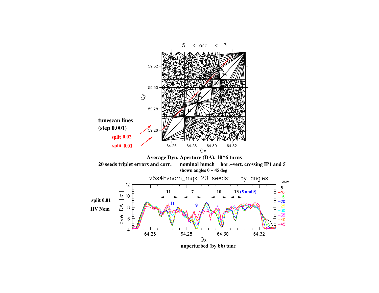

unperturbed (by bb) tune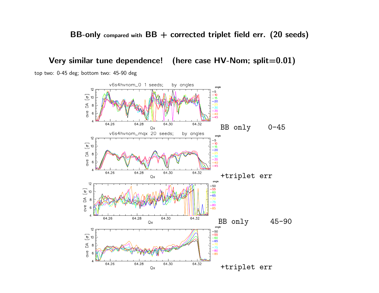BB-only compared with  $BB +$  corrected triplet field err. (20 seeds)

Very similar tune dependence! (here case HV-Nom; split=0.01)

top two: 0-45 deg; bottom two: 45-90 deg

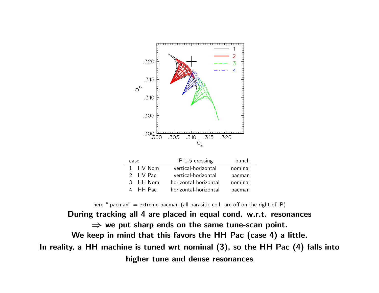

|  |          | $\sim$ $\sim$ $\sim$ $\sim$ $\sim$ $\sim$ $\sim$ |         |
|--|----------|--------------------------------------------------|---------|
|  | 1 HV Nom | vertical-horizontal                              | nominal |
|  | 2 HV Pac | vertical-horizontal                              | pacman  |
|  | 3 HH Nom | horizontal-horizontal                            | nominal |
|  | 4 HH Pac | horizontal-horizontal                            | pacman  |
|  |          |                                                  |         |

here " pacman"  $=$  extreme pacman (all parasitic coll. are off on the right of IP)

During tracking all 4 are placed in equal cond. w.r.t. resonances  $\Rightarrow$  we put sharp ends on the same tune-scan point. We keep in mind that this favors the HH Pac (case 4) a little. In reality, a HH machine is tuned wrt nominal (3), so the HH Pac (4) falls into higher tune and dense resonances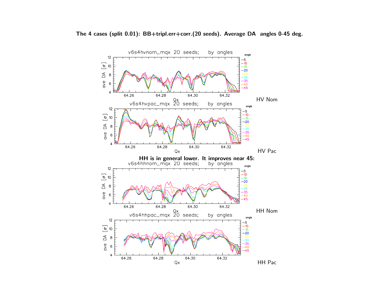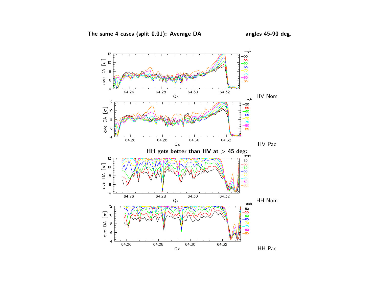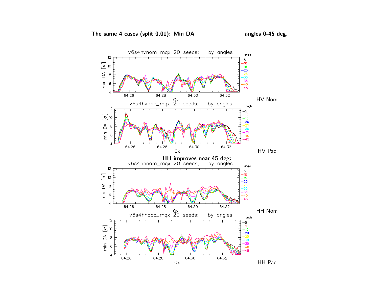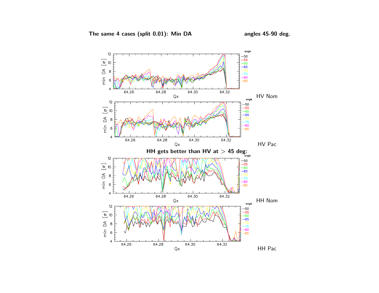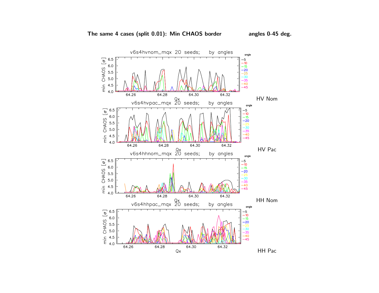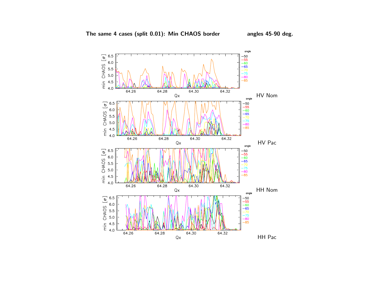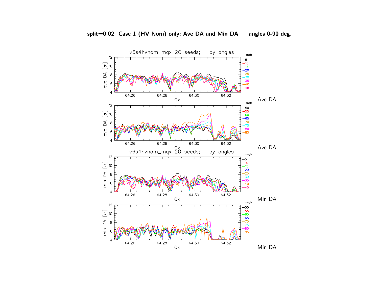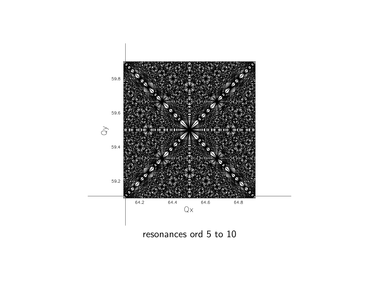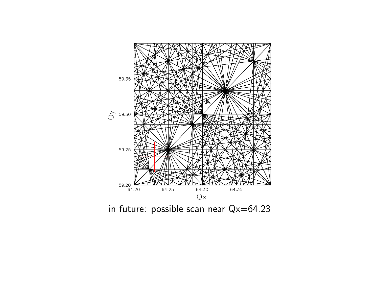

in future: possible scan near Qx=64.23